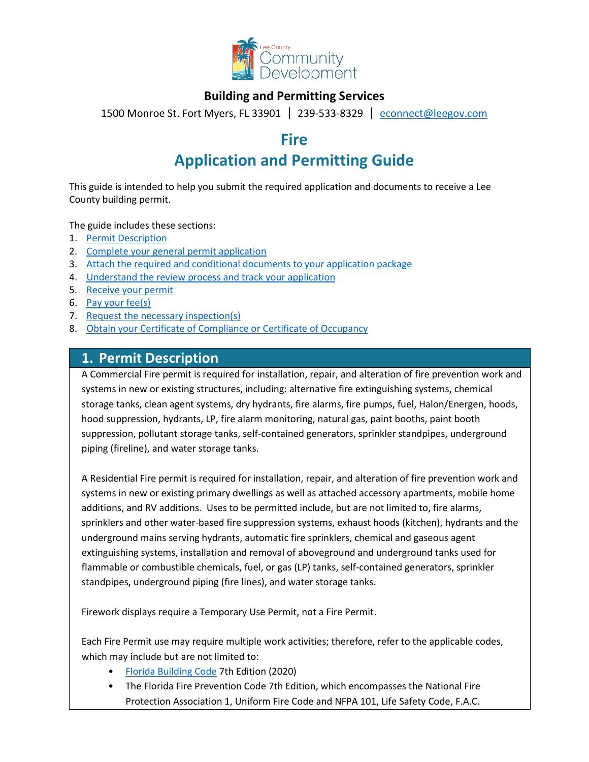

### **Building and Permitting Services**

1500 Monroe St. Fort Myers, FL 33901 | 239-533-8329 |[econnect@leegov.com](mailto:econnect@leegov.com)

# **Fire**

# **Application and Permitting Guide**

This guide is intended to help you submit the required application and documents to receive a Lee County building permit.

The guide includes these sections:

- 1. [Permit Description](#page-0-0)
- 2. [Complete your general permit application](#page-1-0)
- 3. [Attach the required and conditional documents to your application package](#page-3-0)
- 4. [Understand the review process and track your application](#page-6-0)
- 5. [Receive your permit](#page-7-0)
- 6. [Pay your fee\(s\)](#page-7-1)
- 7. [Request the necessary inspection\(s\)](#page-7-2)
- 8. [Obtain your Certificate of Compliance or Certificate of Occupancy](#page-8-0)

### <span id="page-0-0"></span>**1. Permit Description**

A Commercial Fire permit is required for installation, repair, and alteration of fire prevention work and systems in new or existing structures, including: alternative fire extinguishing systems, chemical storage tanks, clean agent systems, dry hydrants, fire alarms, fire pumps, fuel, Halon/Energen, hoods, hood suppression, hydrants, LP, fire alarm monitoring, natural gas, paint booths, paint booth suppression, pollutant storage tanks, self-contained generators, sprinkler standpipes, underground piping (fireline), and water storage tanks.

A Residential Fire permit is required for installation, repair, and alteration of fire prevention work and systems in new or existing primary dwellings as well as attached accessory apartments, mobile home additions, and RV additions. Uses to be permitted include, but are not limited to, fire alarms, sprinklers and other water-based fire suppression systems, exhaust hoods (kitchen), hydrants and the underground mains serving hydrants, automatic fire sprinklers, chemical and gaseous agent extinguishing systems, installation and removal of aboveground and underground tanks used for flammable or combustible chemicals, fuel, or gas (LP) tanks, self-contained generators, sprinkler standpipes, underground piping (fire lines), and water storage tanks.

Firework displays require a Temporary Use Permit, not a Fire Permit.

Each Fire Permit use may require multiple work activities; therefore, refer to the applicable codes, which may include but are not limited to:

- [Florida Building Code](https://codes.iccsafe.org/codes/florida) 7th Edition (2020)
- The Florida Fire Prevention Code 7th Edition, which encompasses the National Fire Protection Association 1, Uniform Fire Code and NFPA 101, Life Safety Code, F.A.C.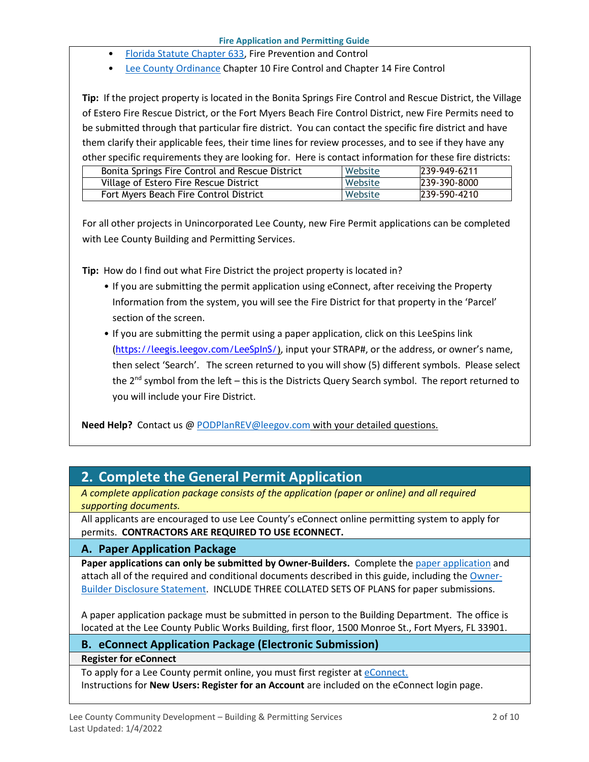- [Florida Statute Chapter 633,](http://www.leg.state.fl.us/statutes/index.cfm?App_mode=Display_Statute&URL=0600-0699/0633/0633.html) Fire Prevention and Control
- [Lee County Ordinance](https://library.municode.com/fl/lee_county/codes/code_of_ordinances?nodeId=COLAORLECOFL) Chapter 10 Fire Control and Chapter 14 Fire Control

**Tip:** If the project property is located in the Bonita Springs Fire Control and Rescue District, the Village of Estero Fire Rescue District, or the Fort Myers Beach Fire Control District, new Fire Permits need to be submitted through that particular fire district. You can contact the specific fire district and have them clarify their applicable fees, their time lines for review processes, and to see if they have any other specific requirements they are looking for. Here is contact information for these fire districts:

| Bonita Springs Fire Control and Rescue District | Website | 239-949-6211 |
|-------------------------------------------------|---------|--------------|
| Village of Estero Fire Rescue District          | Website | 239-390-8000 |
| Fort Myers Beach Fire Control District          | Website | 239-590-4210 |

For all other projects in Unincorporated Lee County, new Fire Permit applications can be completed with Lee County Building and Permitting Services.

**Tip:** How do I find out what Fire District the project property is located in?

- If you are submitting the permit application using eConnect, after receiving the Property Information from the system, you will see the Fire District for that property in the 'Parcel' section of the screen.
- If you are submitting the permit using a paper application, click on this LeeSpins link ([https://leegis.leegov.com/LeeSpInS/\)](https://leegis.leegov.com/LeeSpInS/), input your STRAP#, or the address, or owner's name, then select 'Search'. The screen returned to you will show (5) different symbols. Please select the  $2^{nd}$  symbol from the left – this is the Districts Query Search symbol. The report returned to you will include your Fire District.

**Need Help?** Contact us @ [PODPlanREV@leegov.com](mailto:PODPlanREV@leegov.com) with your detailed questions.

# <span id="page-1-0"></span>**2. Complete the General Permit Application**

*A complete application package consists of the application (paper or online) and all required supporting documents.*

All applicants are encouraged to use Lee County's eConnect online permitting system to apply for permits. **CONTRACTORS ARE REQUIRED TO USE ECONNECT.**

### **A. Paper Application Package**

**Paper applications can only be submitted by Owner-Builders.** Complete the [paper application](https://www.leegov.com/dcd/PermittingDocs/FireApp.pdf) and attach all of the required and conditional documents described in this guide, including the [Owner-](https://www.leegov.com/dcd/PermittingDocs/OwnerBldrDisclosure.pdf)[Builder Disclosure Statement.](https://www.leegov.com/dcd/PermittingDocs/OwnerBldrDisclosure.pdf) INCLUDE THREE COLLATED SETS OF PLANS for paper submissions.

A paper application package must be submitted in person to the Building Department. The office is located at the Lee County Public Works Building, first floor, 1500 Monroe St., Fort Myers, FL 33901.

### **B. eConnect Application Package (Electronic Submission)**

**Register for eConnect**

To apply for a Lee County permit online, you must first register at [eConnect.](https://accelaaca.leegov.com/aca/) Instructions for **New Users: Register for an Account** are included on the eConnect login page.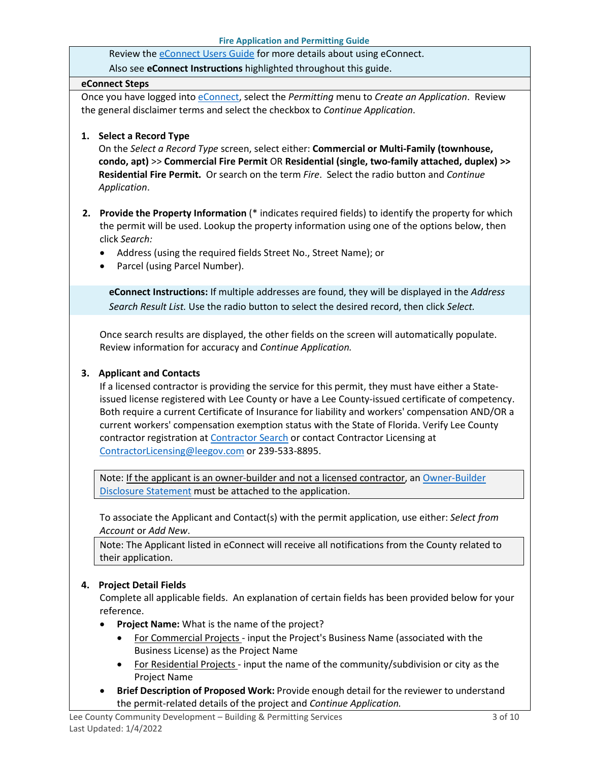Review th[e eConnect Users Guide](https://www.leegov.com/dcd/Documents/eServ/eConnect/eServicesGuide.pdf) for more details about using eConnect.

Also see **eConnect Instructions** highlighted throughout this guide.

#### **eConnect Steps**

Once you have logged into [eConnect,](https://accelaaca.leegov.com/aca/) select the *Permitting* menu to *Create an Application*. Review the general disclaimer terms and select the checkbox to *Continue Application*.

#### **1. Select a Record Type**

On the *Select a Record Type* screen, select either: **Commercial or Multi-Family (townhouse, condo, apt)** >> **Commercial Fire Permit** OR **Residential (single, two-family attached, duplex) >> Residential Fire Permit.** Or search on the term *Fire*. Select the radio button and *Continue Application*.

- **2. Provide the Property Information** (\* indicates required fields) to identify the property for which the permit will be used. Lookup the property information using one of the options below, then click *Search:*
	- Address (using the required fields Street No., Street Name); or
	- Parcel (using Parcel Number).

**eConnect Instructions:** If multiple addresses are found, they will be displayed in the *Address Search Result List.* Use the radio button to select the desired record, then click *Select.*

Once search results are displayed, the other fields on the screen will automatically populate. Review information for accuracy and *Continue Application.*

#### **3. Applicant and Contacts**

If a licensed contractor is providing the service for this permit, they must have either a Stateissued license registered with Lee County or have a Lee County-issued certificate of competency. Both require a current Certificate of Insurance for liability and workers' compensation AND/OR a current workers' compensation exemption status with the State of Florida. Verify Lee County contractor registration at [Contractor Search](https://www.leegov.com/dcd/ContLic/ActCont) or contact Contractor Licensing at [ContractorLicensing@leegov.com](mailto:ContractorLicensing@leegov.com) or 239-533-8895.

Note: If the applicant is an owner-builder and not a licensed contractor, a[n Owner-Builder](https://www.leegov.com/dcd/PermittingDocs/OwnerBldrDisclosure.pdf)  [Disclosure Statement](https://www.leegov.com/dcd/PermittingDocs/OwnerBldrDisclosure.pdf) must be attached to the application.

To associate the Applicant and Contact(s) with the permit application, use either: *Select from Account* or *Add New*.

Note: The Applicant listed in eConnect will receive all notifications from the County related to their application.

### **4. Project Detail Fields**

Complete all applicable fields. An explanation of certain fields has been provided below for your reference.

- **Project Name:** What is the name of the project?
	- For Commercial Projects input the Project's Business Name (associated with the Business License) as the Project Name
	- For Residential Projects input the name of the community/subdivision or city as the Project Name
- **Brief Description of Proposed Work:** Provide enough detail for the reviewer to understand the permit-related details of the project and *Continue Application.*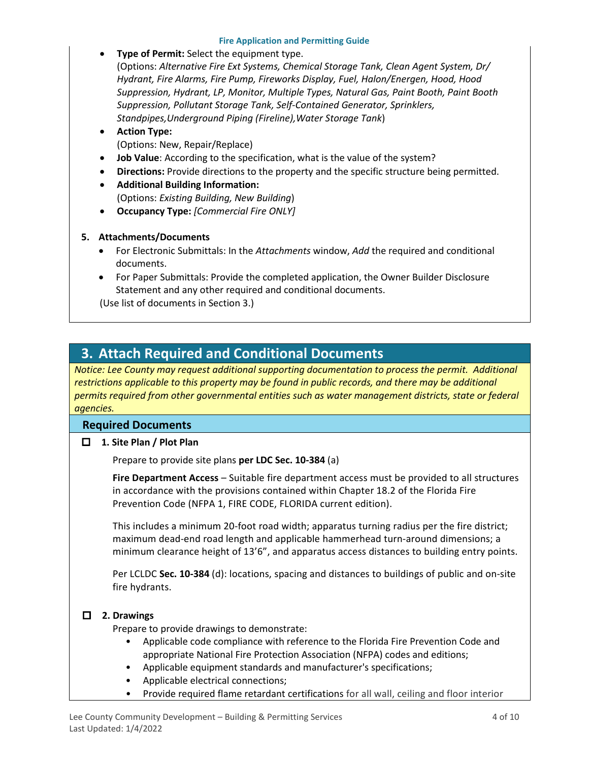#### **Fire Application and Permitting Guide**

#### **Type of Permit:** Select the equipment type.

(Options: *Alternative Fire Ext Systems, Chemical Storage Tank, Clean Agent System, Dr/ Hydrant, Fire Alarms, Fire Pump, Fireworks Display, Fuel, Halon/Energen, Hood, Hood Suppression, Hydrant, LP, Monitor, Multiple Types, Natural Gas, Paint Booth, Paint Booth Suppression, Pollutant Storage Tank, Self-Contained Generator, Sprinklers, Standpipes,Underground Piping (Fireline),Water Storage Tank*)

#### • **Action Type:** (Options: New, Repair/Replace)

- **Job Value**: According to the specification, what is the value of the system?
- **Directions:** Provide directions to the property and the specific structure being permitted.
- **Additional Building Information:** (Options: *Existing Building, New Building*)
- **Occupancy Type:** *[Commercial Fire ONLY]*

#### **5. Attachments/Documents**

- For Electronic Submittals: In the *Attachments* window, *Add* the required and conditional documents.
- For Paper Submittals: Provide the completed application, the Owner Builder Disclosure Statement and any other required and conditional documents.

(Use list of documents in Section 3.)

# <span id="page-3-0"></span>**3. Attach Required and Conditional Documents**

*Notice: Lee County may request additional supporting documentation to process the permit. Additional*  restrictions applicable to this property may be found in public records, and there may be additional *permits required from other governmental entities such as water management districts, state or federal agencies.*

### **Required Documents**

**1. Site Plan / Plot Plan**

Prepare to provide site plans **per LDC Sec. 10-384** (a)

**Fire Department Access** – Suitable fire department access must be provided to all structures in accordance with the provisions contained within Chapter 18.2 of the Florida Fire Prevention Code (NFPA 1, FIRE CODE, FLORIDA current edition).

This includes a minimum 20-foot road width; apparatus turning radius per the fire district; maximum dead-end road length and applicable hammerhead turn-around dimensions; a minimum clearance height of 13'6", and apparatus access distances to building entry points.

Per LCLDC **Sec. 10-384** (d): locations, spacing and distances to buildings of public and on-site fire hydrants.

### **2. Drawings**

Prepare to provide drawings to demonstrate:

- Applicable code compliance with reference to the Florida Fire Prevention Code and appropriate National Fire Protection Association (NFPA) codes and editions;
- Applicable equipment standards and manufacturer's specifications;
- Applicable electrical connections;
- Provide required flame retardant certifications for all wall, ceiling and floor interior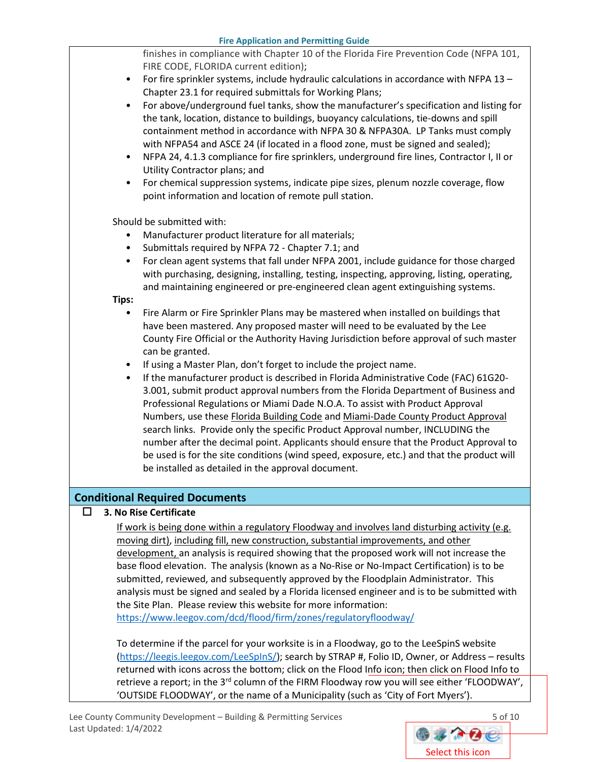**Fire Application and Permitting Guide** finishes in compliance with Chapter 10 of the Florida Fire Prevention Code (NFPA 101, FIRE CODE, FLORIDA current edition); • For fire sprinkler systems, include hydraulic calculations in accordance with NFPA 13 – Chapter 23.1 for required submittals for Working Plans; • For above/underground fuel tanks, show the manufacturer's specification and listing for the tank, location, distance to buildings, buoyancy calculations, tie-downs and spill containment method in accordance with NFPA 30 & NFPA30A. LP Tanks must comply with NFPA54 and ASCE 24 (if located in a flood zone, must be signed and sealed); • NFPA 24, 4.1.3 compliance for fire sprinklers, underground fire lines, Contractor I, II or Utility Contractor plans; and • For chemical suppression systems, indicate pipe sizes, plenum nozzle coverage, flow point information and location of remote pull station. Should be submitted with: • Manufacturer product literature for all materials; Submittals required by NFPA 72 - Chapter 7.1; and • For clean agent systems that fall under NFPA 2001, include guidance for those charged with purchasing, designing, installing, testing, inspecting, approving, listing, operating, and maintaining engineered or pre-engineered clean agent extinguishing systems. **Tips:** • Fire Alarm or Fire Sprinkler Plans may be mastered when installed on buildings that have been mastered. Any proposed master will need to be evaluated by the Lee County Fire Official or the Authority Having Jurisdiction before approval of such master can be granted. • If using a Master Plan, don't forget to include the project name. • If the manufacturer product is described in Florida Administrative Code (FAC) 61G20- 3.001, submit product approval numbers from the Florida Department of Business and Professional Regulations or Miami Dade N.O.A. To assist with Product Approval Numbers, use these Florida Building Code and Miami-Dade County Product Approval search links. Provide only the specific Product Approval number, INCLUDING the number after the decimal point. Applicants should ensure that the Product Approval to be used is for the site conditions (wind speed, exposure, etc.) and that the product will be installed as detailed in the approval document. **Conditional Required Documents**

### $\Box$  3. No Rise Certificate

If work is being done within a regulatory Floodway and involves land disturbing activity (e.g. moving dirt), including fill, new construction, substantial improvements, and other development, an analysis is required showing that the proposed work will not increase the base flood elevation. The analysis (known as a No-Rise or No-Impact Certification) is to be submitted, reviewed, and subsequently approved by the Floodplain Administrator. This analysis must be signed and sealed by a Florida licensed engineer and is to be submitted with the Site Plan. Please review this website for more information:

<https://www.leegov.com/dcd/flood/firm/zones/regulatoryfloodway/>

To determine if the parcel for your worksite is in a Floodway, go to the LeeSpinS website [\(https://leegis.leegov.com/LeeSpInS/\)](https://leegis.leegov.com/LeeSpInS/); search by STRAP #, Folio ID, Owner, or Address – results returned with icons across the bottom; click on the Flood Info icon; then click on Flood Info to retrieve a report; in the 3<sup>rd</sup> column of the FIRM Floodway row you will see either 'FLOODWAY', 'OUTSIDE FLOODWAY', or the name of a Municipality (such as 'City of Fort Myers').

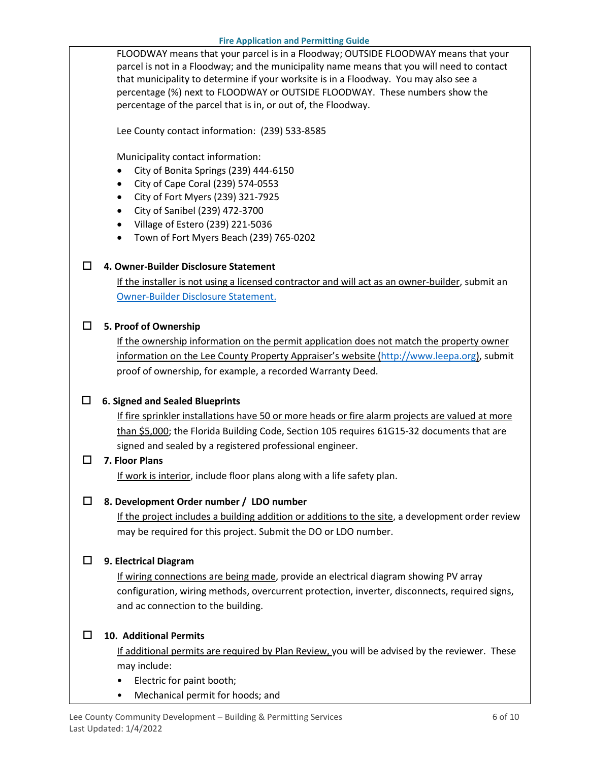FLOODWAY means that your parcel is in a Floodway; OUTSIDE FLOODWAY means that your parcel is not in a Floodway; and the municipality name means that you will need to contact that municipality to determine if your worksite is in a Floodway. You may also see a percentage (%) next to FLOODWAY or OUTSIDE FLOODWAY. These numbers show the percentage of the parcel that is in, or out of, the Floodway.

Lee County contact information: (239) 533-8585

Municipality contact information:

- City of Bonita Springs (239) 444-6150
- City of Cape Coral (239) 574-0553
- City of Fort Myers (239) 321-7925
- City of Sanibel (239) 472-3700
- Village of Estero (239) 221-5036
- Town of Fort Myers Beach (239) 765-0202

### **4. Owner-Builder Disclosure Statement**

If the installer is not using a licensed contractor and will act as an owner-builder, submit an [Owner-Builder Disclosure Statement.](https://www.leegov.com/dcd/PermittingDocs/OwnerBldrDisclosure.pdf)

### **5. Proof of Ownership**

If the ownership information on the permit application does not match the property owner information on the Lee County Property Appraiser's website [\(http://www.leepa.org\)](http://www.leepa.org/), submit proof of ownership, for example, a recorded Warranty Deed.

### **6. Signed and Sealed Blueprints**

If fire sprinkler installations have 50 or more heads or fire alarm projects are valued at more than \$5,000; the Florida Building Code, Section 105 requires 61G15-32 documents that are signed and sealed by a registered professional engineer.

### **7. Floor Plans**

If work is interior, include floor plans along with a life safety plan.

### **8. Development Order number / LDO number**

If the project includes a building addition or additions to the site, a development order review may be required for this project. Submit the DO or LDO number.

### **9. Electrical Diagram**

If wiring connections are being made, provide an electrical diagram showing PV array configuration, wiring methods, overcurrent protection, inverter, disconnects, required signs, and ac connection to the building.

### **10. Additional Permits**

If additional permits are required by Plan Review, you will be advised by the reviewer. These may include:

- Electric for paint booth;
- Mechanical permit for hoods; and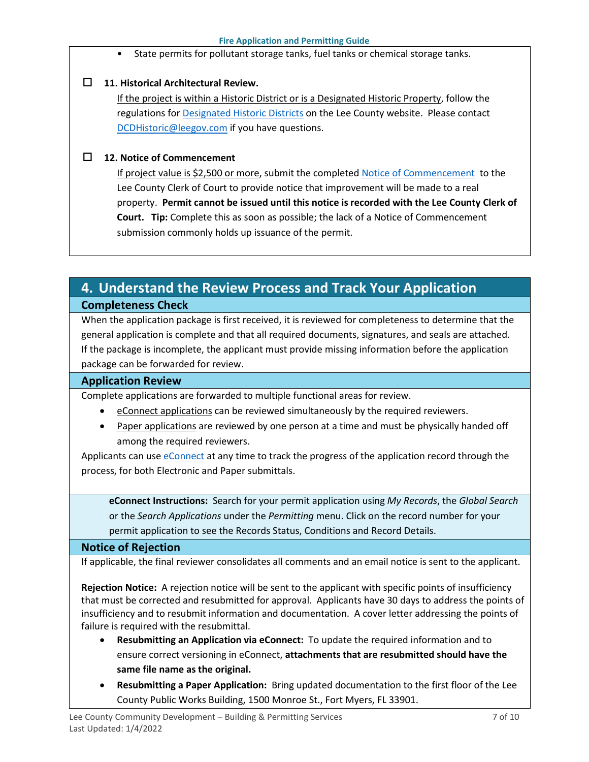State permits for pollutant storage tanks, fuel tanks or chemical storage tanks.

### **11. Historical Architectural Review.**

If the project is within a Historic District or is a Designated Historic Property, follow the regulations for [Designated Historic Districts](https://www.leegov.com/dcd/planning/hp/histdistricts) on the Lee County website. Please contact [DCDHistoric@leegov.com](mailto:DCDHistoric@leegov.com) if you have questions.

### **12. Notice of Commencement**

If project value is \$2,500 or more, submit the completed [Notice of Commencement](https://www.leegov.com/dcd/PermittingDocs/NoticeofCommencement.pdf) to the Lee County Clerk of Court to provide notice that improvement will be made to a real property. **Permit cannot be issued until this notice is recorded with the Lee County Clerk of Court. Tip:** Complete this as soon as possible; the lack of a Notice of Commencement submission commonly holds up issuance of the permit.

# <span id="page-6-0"></span>**4. Understand the Review Process and Track Your Application Completeness Check**

When the application package is first received, it is reviewed for completeness to determine that the general application is complete and that all required documents, signatures, and seals are attached. If the package is incomplete, the applicant must provide missing information before the application package can be forwarded for review.

### **Application Review**

Complete applications are forwarded to multiple functional areas for review.

- eConnect applications can be reviewed simultaneously by the required reviewers.
- Paper applications are reviewed by one person at a time and must be physically handed off among the required reviewers.

Applicants can use [eConnect](https://accelaaca.leegov.com/aca/) at any time to track the progress of the application record through the process, for both Electronic and Paper submittals.

**eConnect Instructions:** Search for your permit application using *My Records*, the *Global Search* or the *Search Applications* under the *Permitting* menu. Click on the record number for your permit application to see the Records Status, Conditions and Record Details.

### **Notice of Rejection**

If applicable, the final reviewer consolidates all comments and an email notice is sent to the applicant.

**Rejection Notice:** A rejection notice will be sent to the applicant with specific points of insufficiency that must be corrected and resubmitted for approval. Applicants have 30 days to address the points of insufficiency and to resubmit information and documentation. A cover letter addressing the points of failure is required with the resubmittal.

- **Resubmitting an Application via eConnect:** To update the required information and to ensure correct versioning in eConnect, **attachments that are resubmitted should have the same file name as the original.**
- **Resubmitting a Paper Application:** Bring updated documentation to the first floor of the Lee County Public Works Building, 1500 Monroe St., Fort Myers, FL 33901.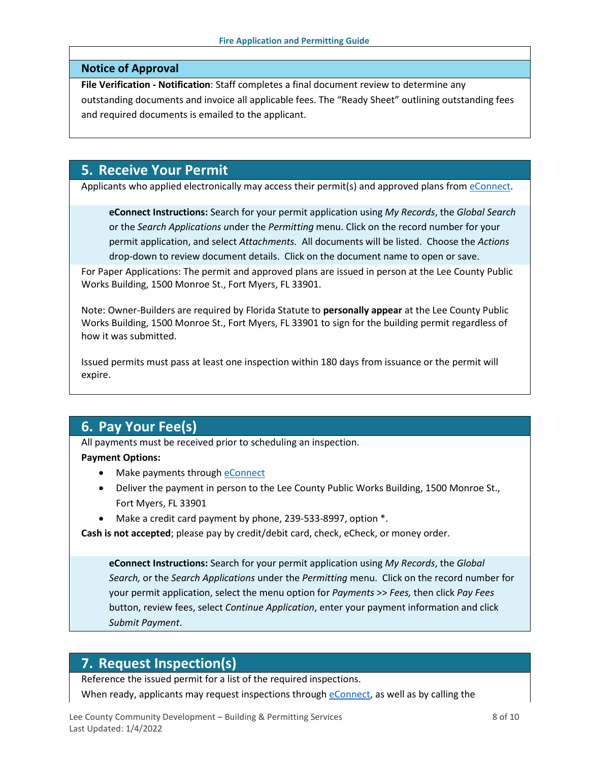### **Notice of Approval**

**File Verification - Notification**: Staff completes a final document review to determine any outstanding documents and invoice all applicable fees. The "Ready Sheet" outlining outstanding fees and required documents is emailed to the applicant.

# <span id="page-7-0"></span>**5. Receive Your Permit**

Applicants who applied electronically may access their permit(s) and approved plans from [eConnect.](https://accelaaca.leegov.com/aca/)

**eConnect Instructions:** Search for your permit application using *My Records*, the *Global Search* or the *Search Applications u*nder the *Permitting* menu. Click on the record number for your permit application, and select *Attachments.* All documents will be listed. Choose the *Actions*  drop-down to review document details. Click on the document name to open or save.

For Paper Applications: The permit and approved plans are issued in person at the Lee County Public Works Building, 1500 Monroe St., Fort Myers, FL 33901.

Note: Owner-Builders are required by Florida Statute to **personally appear** at the Lee County Public Works Building, 1500 Monroe St., Fort Myers, FL 33901 to sign for the building permit regardless of how it was submitted.

Issued permits must pass at least one inspection within 180 days from issuance or the permit will expire.

# <span id="page-7-1"></span>**6. Pay Your Fee(s)**

All payments must be received prior to scheduling an inspection.

### **Payment Options:**

- Make payments through [eConnect](https://accelaaca.leegov.com/aca/)
- Deliver the payment in person to the Lee County Public Works Building, 1500 Monroe St., Fort Myers, FL 33901
- Make a credit card payment by phone, 239-533-8997, option \*.

**Cash is not accepted**; please pay by credit/debit card, check, eCheck, or money order.

**eConnect Instructions:** Search for your permit application using *My Records*, the *Global Search,* or the *Search Applications* under the *Permitting* menu. Click on the record number for your permit application, select the menu option for *Payments* >> *Fees,* then click *Pay Fees* button, review fees, select *Continue Application*, enter your payment information and click *Submit Payment*.

## <span id="page-7-2"></span>**7. Request Inspection(s)**

Reference the issued permit for a list of the required inspections.

When ready, applicants may request inspections through [eConnect,](https://accelaaca.leegov.com/aca/) as well as by calling the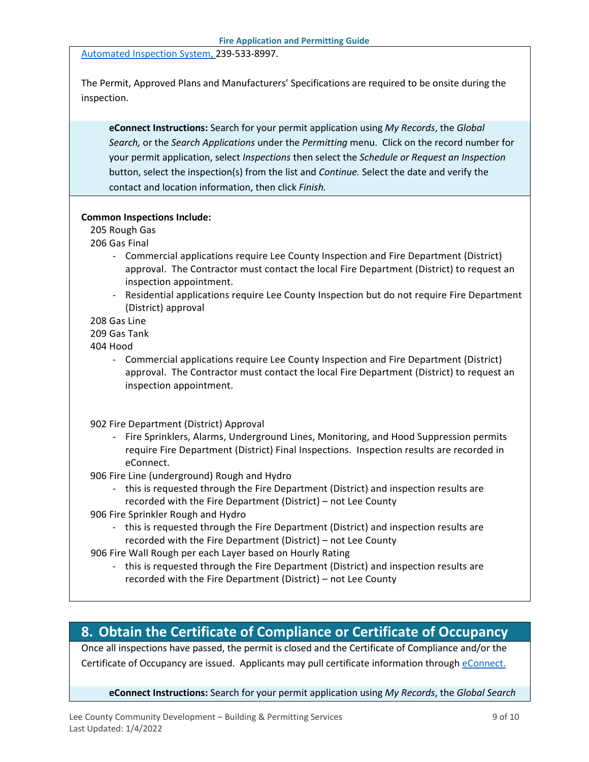[Automated Inspection System,](https://www.leegov.com/dcd/BldPermitServ/Insp/AutoInsp) 239-533-8997.

The Permit, Approved Plans and Manufacturers' Specifications are required to be onsite during the inspection.

**eConnect Instructions:** Search for your permit application using *My Records*, the *Global Search,* or the *Search Applications* under the *Permitting* menu. Click on the record number for your permit application, select *Inspections* then select the *Schedule or Request an Inspection* button, select the inspection(s) from the list and *Continue.* Select the date and verify the contact and location information, then click *Finish.*

#### **Common Inspections Include:**

205 Rough Gas

206 Gas Final

- Commercial applications require Lee County Inspection and Fire Department (District) approval. The Contractor must contact the local Fire Department (District) to request an inspection appointment.
- Residential applications require Lee County Inspection but do not require Fire Department (District) approval
- 208 Gas Line

#### 209 Gas Tank

404 Hood

- Commercial applications require Lee County Inspection and Fire Department (District) approval. The Contractor must contact the local Fire Department (District) to request an inspection appointment.

902 Fire Department (District) Approval

- Fire Sprinklers, Alarms, Underground Lines, Monitoring, and Hood Suppression permits require Fire Department (District) Final Inspections. Inspection results are recorded in eConnect.
- 906 Fire Line (underground) Rough and Hydro
	- this is requested through the Fire Department (District) and inspection results are recorded with the Fire Department (District) – not Lee County
- 906 Fire Sprinkler Rough and Hydro
	- this is requested through the Fire Department (District) and inspection results are recorded with the Fire Department (District) – not Lee County

906 Fire Wall Rough per each Layer based on Hourly Rating

- this is requested through the Fire Department (District) and inspection results are recorded with the Fire Department (District) – not Lee County

## <span id="page-8-0"></span>**8. Obtain the Certificate of Compliance or Certificate of Occupancy**

Once all inspections have passed, the permit is closed and the Certificate of Compliance and/or the Certificate of Occupancy are issued. Applicants may pull certificate information throug[h eConnect.](https://accelaaca.leegov.com/aca/)

**eConnect Instructions:** Search for your permit application using *My Records*, the *Global Search*